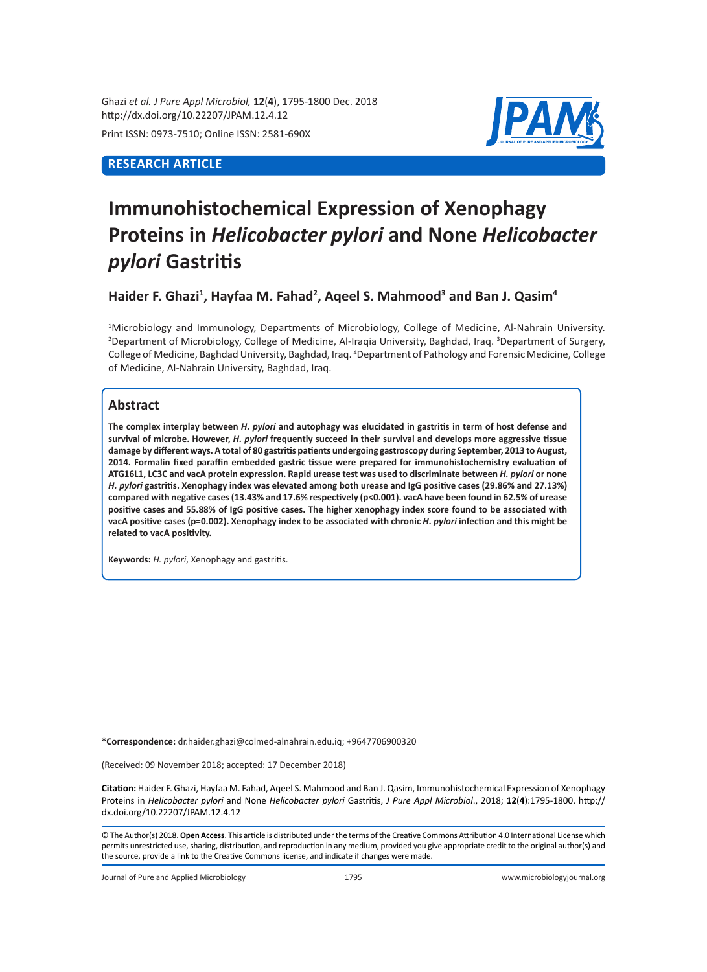Ghazi *et al. J Pure Appl Microbiol,* **12**(**4**), 1795-1800 Dec. 2018 http://dx.doi.org/10.22207/JPAM.12.4.12

Print ISSN: 0973-7510; Online ISSN: 2581-690X

## **RESEARCH ARTICLE**



# **Immunohistochemical Expression of Xenophagy Proteins in** *Helicobacter pylori* **and None** *Helicobacter pylori* **Gastritis**

Haider F. Ghazi<sup>1</sup>, Hayfaa M. Fahad<sup>2</sup>, Aqeel S. Mahmood<sup>3</sup> and Ban J. Qasim<sup>4</sup>

1 Microbiology and Immunology, Departments of Microbiology, College of Medicine, Al-Nahrain University. <sup>2</sup>Department of Microbiology, College of Medicine, Al-Iraqia University, Baghdad, Iraq. <sup>3</sup>Department of Surgery, College of Medicine, Baghdad University, Baghdad, Iraq. <sup>4</sup> Department of Pathology and Forensic Medicine, College of Medicine, Al-Nahrain University, Baghdad, Iraq.

## **Abstract**

**The complex interplay between** *H. pylori* **and autophagy was elucidated in gastritis in term of host defense and survival of microbe. However,** *H. pylori* **frequently succeed in their survival and develops more aggressive tissue damage by different ways. A total of 80 gastritis patients undergoing gastroscopy during September, 2013 to August, 2014. Formalin fixed paraffin embedded gastric tissue were prepared for immunohistochemistry evaluation of ATG16L1, LC3C and vacA protein expression. Rapid urease test was used to discriminate between** *H. pylori* **or none**  *H. pylori* **gastritis. Xenophagy index was elevated among both urease and IgG positive cases (29.86% and 27.13%) compared with negative cases (13.43% and 17.6% respectively (p<0.001). vacA have been found in 62.5% of urease positive cases and 55.88% of IgG positive cases. The higher xenophagy index score found to be associated with vacA positive cases (p=0.002). Xenophagy index to be associated with chronic** *H. pylori* **infection and this might be related to vacA positivity.**

**Keywords:** *H. pylori*, Xenophagy and gastritis.

**\*Correspondence:** dr.haider.ghazi@colmed-alnahrain.edu.iq; +9647706900320

(Received: 09 November 2018; accepted: 17 December 2018)

**Citation:** Haider F. Ghazi, Hayfaa M. Fahad, Aqeel S. Mahmood and Ban J. Qasim, Immunohistochemical Expression of Xenophagy Proteins in *Helicobacter pylori* and None *Helicobacter pylori* Gastritis, *J Pure Appl Microbiol*., 2018; **12**(**4**):1795-1800. http:// dx.doi.org/10.22207/JPAM.12.4.12

© The Author(s) 2018. **Open Access**. This article is distributed under the terms of the Creative Commons Attribution 4.0 International License which permits unrestricted use, sharing, distribution, and reproduction in any medium, provided you give appropriate credit to the original author(s) and the source, provide a link to the Creative Commons license, and indicate if changes were made.

Journal of Pure and Applied Microbiology 1795 www.microbiologyjournal.org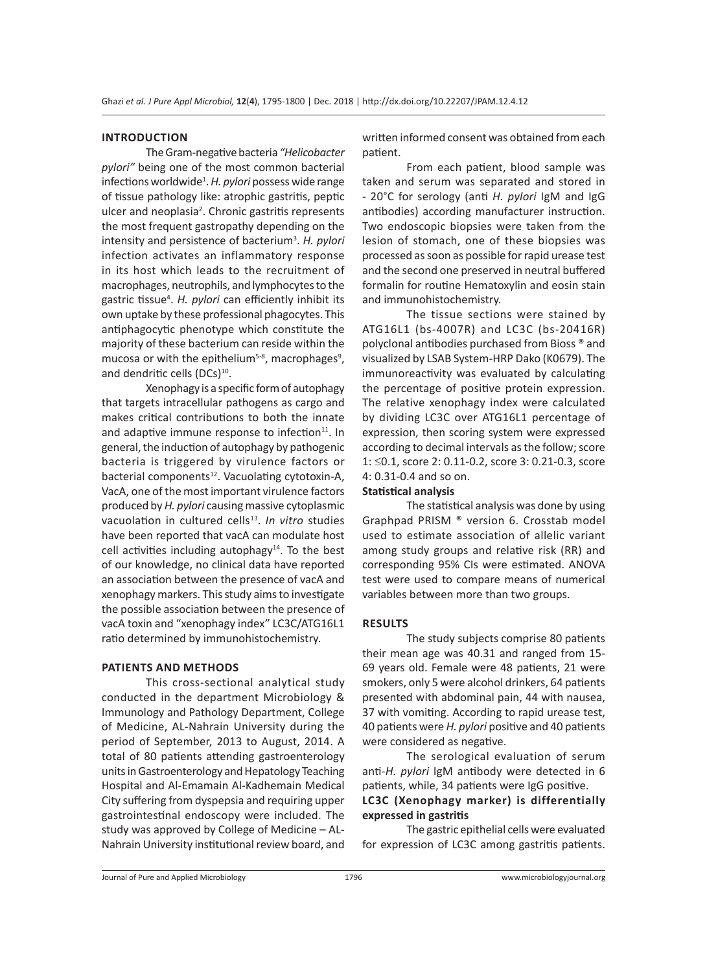#### **INTRODUCTION**

TheGram-negative bacteria *"Helicobacter pylori"* being one of the most common bacterial infections worldwide<sup>1</sup>. H. pylori possess wide range of tissue pathology like: atrophic gastritis, peptic ulcer and neoplasia<sup>2</sup>. Chronic gastritis represents the most frequent gastropathy depending on the intensity and persistence of bacterium<sup>3</sup>. H. pylori infection activates an inflammatory response in its host which leads to the recruitment of macrophages, neutrophils, and lymphocytes to the gastric tissue<sup>4</sup>. H. pylori can efficiently inhibit its own uptake by these professional phagocytes. This antiphagocytic phenotype which constitute the majority of these bacterium can reside within the mucosa or with the epithelium<sup>5-8</sup>, macrophages<sup>9</sup>, and dendritic cells (DCs)<sup>10</sup>.

Xenophagy is a specific form of autophagy that targets intracellular pathogens as cargo and makes critical contributions to both the innate and adaptive immune response to infection<sup>11</sup>. In general, the induction of autophagy by pathogenic bacteria is triggered by virulence factors or bacterial components<sup>12</sup>. Vacuolating cytotoxin-A, VacA, one of the most important virulence factors produced by *H. pylori* causing massive cytoplasmic vacuolation in cultured cells<sup>13</sup>. In vitro studies have been reported that vacA can modulate host cell activities including autophagy $14$ . To the best of our knowledge, no clinical data have reported an association between the presence of vacA and xenophagy markers. This study aims to investigate the possible association between the presence of vacA toxin and "xenophagy index" LC3C/ATG16L1 ratio determined by immunohistochemistry.

#### **PATIENTS AND METHODS**

This cross-sectional analytical study conducted in the department Microbiology & Immunology and Pathology Department, College of Medicine, AL-Nahrain University during the period of September, 2013 to August, 2014. A total of 80 patients attending gastroenterology units in Gastroenterology and Hepatology Teaching Hospital and Al-Emamain Al-Kadhemain Medical City suffering from dyspepsia and requiring upper gastrointestinal endoscopy were included. The study was approved by College of Medicine – AL-Nahrain University institutional review board, and written informed consent was obtained from each patient.

From each patient, blood sample was taken and serum was separated and stored in - 20°C for serology (anti *H. pylori* IgM and IgG antibodies) according manufacturer instruction. Two endoscopic biopsies were taken from the lesion of stomach, one of these biopsies was processed as soon as possible for rapid urease test and the second one preserved in neutral buffered formalin for routine Hematoxylin and eosin stain and immunohistochemistry.

The tissue sections were stained by ATG16L1 (bs-4007R) and LC3C (bs-20416R) polyclonal antibodies purchased from Bioss ® and visualized by LSAB System-HRP Dako (K0679). The immunoreactivity was evaluated by calculating the percentage of positive protein expression. The relative xenophagy index were calculated by dividing LC3C over ATG16L1 percentage of expression, then scoring system were expressed according to decimal intervals as the follow; score 1: ≤0.1, score 2: 0.11-0.2, score 3: 0.21-0.3, score 4: 0.31-0.4 and so on.

#### **Statistical analysis**

The statistical analysis was done by using Graphpad PRISM ® version 6. Crosstab model used to estimate association of allelic variant among study groups and relative risk (RR) and corresponding 95% CIs were estimated. ANOVA test were used to compare means of numerical variables between more than two groups.

#### **RESULTS**

The study subjects comprise 80 patients their mean age was 40.31 and ranged from 15- 69 years old. Female were 48 patients, 21 were smokers, only 5 were alcohol drinkers, 64 patients presented with abdominal pain, 44 with nausea, 37 with vomiting. According to rapid urease test, 40 patients were *H. pylori* positive and 40 patients were considered as negative.

The serological evaluation of serum anti-*H. pylori* IgM antibody were detected in 6 patients, while, 34 patients were IgG positive.

## **LC3C (Xenophagy marker) is differentially expressed in gastritis**

The gastric epithelial cells were evaluated for expression of LC3C among gastritis patients.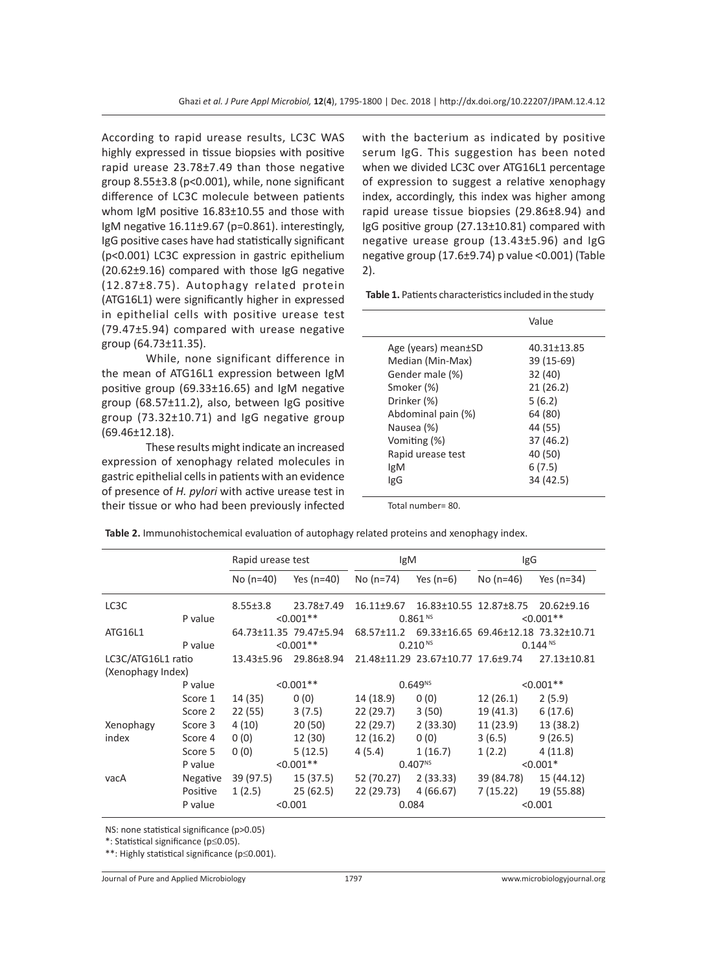According to rapid urease results, LC3C WAS highly expressed in tissue biopsies with positive rapid urease 23.78±7.49 than those negative group 8.55±3.8 (p<0.001), while, none significant difference of LC3C molecule between patients whom IgM positive 16.83±10.55 and those with IgM negative  $16.11\pm9.67$  (p=0.861). interestingly, IgG positive cases have had statistically significant (p<0.001) LC3C expression in gastric epithelium (20.62±9.16) compared with those IgG negative (12.87±8.75). Autophagy related protein (ATG16L1) were significantly higher in expressed in epithelial cells with positive urease test (79.47±5.94) compared with urease negative group (64.73±11.35).

While, none significant difference in the mean of ATG16L1 expression between IgM positive group (69.33±16.65) and IgM negative group (68.57±11.2), also, between IgG positive group (73.32±10.71) and IgG negative group (69.46±12.18).

These results might indicate an increased expression of xenophagy related molecules in gastric epithelial cells in patients with an evidence of presence of *H. pylori* with active urease test in their tissue or who had been previously infected

with the bacterium as indicated by positive serum IgG. This suggestion has been noted when we divided LC3C over ATG16L1 percentage of expression to suggest a relative xenophagy index, accordingly, this index was higher among rapid urease tissue biopsies (29.86±8.94) and IgG positive group (27.13±10.81) compared with negative urease group (13.43±5.96) and IgG negative group (17.6±9.74) p value <0.001) (Table 2).

**Table 1.** Patients characteristics included in the study

|                                                                                                                                                                  | Value                                                                                                    |
|------------------------------------------------------------------------------------------------------------------------------------------------------------------|----------------------------------------------------------------------------------------------------------|
| Age (years) mean±SD<br>Median (Min-Max)<br>Gender male (%)<br>Smoker (%)<br>Drinker (%)<br>Abdominal pain (%)<br>Nausea (%)<br>Vomiting (%)<br>Rapid urease test | 40.31±13.85<br>39 (15-69)<br>32 (40)<br>21(26.2)<br>5(6.2)<br>64 (80)<br>44 (55)<br>37 (46.2)<br>40 (50) |
| lgM<br>lgG                                                                                                                                                       | 6(7.5)<br>34 (42.5)                                                                                      |

Total number= 80.

|                    |                         | Rapid urease test |                        | lgM                                                          |                                                | IgG          |                  |
|--------------------|-------------------------|-------------------|------------------------|--------------------------------------------------------------|------------------------------------------------|--------------|------------------|
|                    |                         | No (n=40)         | Yes (n=40)             | No (n=74)                                                    | Yes (n=6)                                      | No (n=46)    | Yes $(n=34)$     |
| LC3C               |                         | $8.55 \pm 3.8$    | 23.78±7.49             | 16.11±9.67                                                   | 16.83±10.55 12.87±8.75                         |              | $20.62 \pm 9.16$ |
|                    | $< 0.001$ **<br>P value |                   |                        | 0.861 <sup>NS</sup>                                          |                                                | $< 0.001**$  |                  |
| ATG16L1            |                         |                   | 64.73±11.35 79.47±5.94 |                                                              | 68.57±11.2 69.33±16.65 69.46±12.18 73.32±10.71 |              |                  |
|                    | P value                 |                   | $< 0.001$ **           | $0.210^{N5}$                                                 |                                                | $0.144^{N5}$ |                  |
| LC3C/ATG16L1 ratio |                         | 13.43±5.96        |                        | 29.86±8.94  21.48±11.29  23.67±10.77  17.6±9.74  27.13±10.81 |                                                |              |                  |
| (Xenophagy Index)  |                         |                   |                        |                                                              |                                                |              |                  |
|                    | P value                 | $< 0.001**$       |                        | $0.649^{NS}$                                                 |                                                | $< 0.001**$  |                  |
|                    | Score 1                 | 14 (35)           | 0(0)                   | 14 (18.9)                                                    | 0(0)                                           | 12 (26.1)    | 2(5.9)           |
|                    | Score 2                 | 22(55)            | 3(7.5)                 | 22 (29.7)                                                    | 3(50)                                          | 19 (41.3)    | 6(17.6)          |
| Xenophagy          | Score 3                 | 4(10)             | 20(50)                 | $22(29.7)$ $2(33.30)$                                        |                                                | 11 (23.9)    | 13 (38.2)        |
| index              | Score 4                 | 0(0)              | 12 (30)                | 12 (16.2)                                                    | 0(0)                                           | 3(6.5)       | 9(26.5)          |
|                    | Score 5                 | 0(0)              | 5(12.5)                | 4(5.4)                                                       | 1(16.7)                                        | 1(2.2)       | 4(11.8)          |
|                    | P value                 |                   | $< 0.001$ **           | $0.407^{NS}$                                                 |                                                | $< 0.001*$   |                  |
| vacA               | Negative                | 39 (97.5)         | 15 (37.5)              | 52 (70.27)                                                   | 2 (33.33)                                      | 39 (84.78)   | 15 (44.12)       |
|                    | Positive                | 1(2.5)            | 25 (62.5)              | 22 (29.73) 4 (66.67)                                         |                                                | 7 (15.22)    | 19 (55.88)       |
|                    | P value                 | < 0.001           |                        | 0.084                                                        |                                                | < 0.001      |                  |

**Table 2.** Immunohistochemical evaluation of autophagy related proteins and xenophagy index.

NS: none statistical significance (p>0.05)

\*: Statistical significance (p≤0.05).

\*\*: Highly statistical significance (p≤0.001).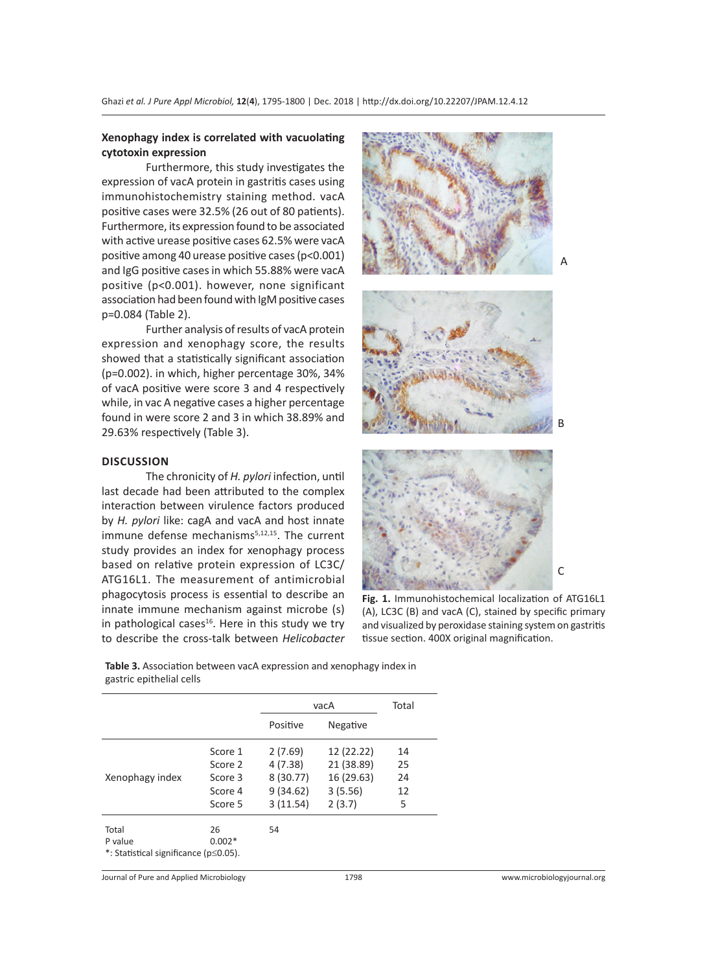#### **Xenophagy index is correlated with vacuolating cytotoxin expression**

Furthermore, this study investigates the expression of vacA protein in gastritis cases using immunohistochemistry staining method. vacA positive cases were 32.5% (26 out of 80 patients). Furthermore, its expression found to be associated with active urease positive cases 62.5% were vacA positive among 40 urease positive cases (p<0.001) and IgG positive cases in which 55.88% were vacA positive (p<0.001). however, none significant association had been found with IgM positive cases p=0.084 (Table 2).

Further analysis of results of vacA protein expression and xenophagy score, the results showed that a statistically significant association (p=0.002). in which, higher percentage 30%, 34% of vacA positive were score 3 and 4 respectively while, in vac A negative cases a higher percentage found in were score 2 and 3 in which 38.89% and 29.63% respectively (Table 3).

#### **DISCUSSION**

The chronicity of *H. pylori* infection, until last decade had been attributed to the complex interaction between virulence factors produced by *H. pylori* like: cagA and vacA and host innate immune defense mechanisms<sup>5,12,15</sup>. The current study provides an index for xenophagy process based on relative protein expression of LC3C/ ATG16L1. The measurement of antimicrobial phagocytosis process is essential to describe an innate immune mechanism against microbe (s) in pathological cases<sup>16</sup>. Here in this study we try to describe the cross-talk between *Helicobacter* 



**Fig. 1.** Immunohistochemical localization of ATG16L1 (A), LC3C (B) and vacA (C), stained by specific primary and visualized by peroxidase staining system on gastritis tissue section. 400X original magnification.

**Table 3.** Association between vacA expression and xenophagy index in gastric epithelial cells

|                                       |          | vacA     |            | Total |  |
|---------------------------------------|----------|----------|------------|-------|--|
|                                       |          | Positive | Negative   |       |  |
|                                       | Score 1  | 2(7.69)  | 12 (22.22) | 14    |  |
|                                       | Score 2  | 4(7.38)  | 21 (38.89) | 25    |  |
| Xenophagy index                       | Score 3  | 8(30.77) | 16 (29.63) | 24    |  |
|                                       | Score 4  | 9(34.62) | 3(5.56)    | 12    |  |
|                                       | Score 5  | 3(11.54) | 2(3.7)     | 5     |  |
| Total                                 | 26       | 54       |            |       |  |
| P value                               | $0.002*$ |          |            |       |  |
| *: Statistical significance (p≤0.05). |          |          |            |       |  |

Journal of Pure and Applied Microbiology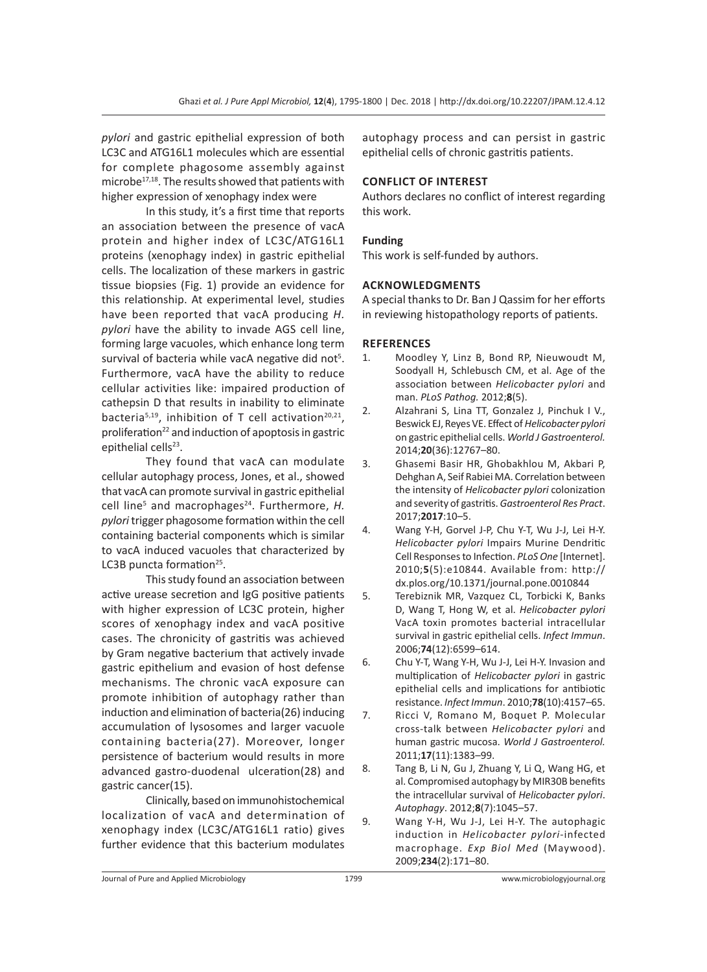*pylori* and gastric epithelial expression of both LC3C and ATG16L1 molecules which are essential for complete phagosome assembly against microbe<sup>17,18</sup>. The results showed that patients with higher expression of xenophagy index were

In this study, it's a first time that reports an association between the presence of vacA protein and higher index of LC3C/ATG16L1 proteins (xenophagy index) in gastric epithelial cells. The localization of these markers in gastric tissue biopsies (Fig. 1) provide an evidence for this relationship. At experimental level, studies have been reported that vacA producing *H. pylori* have the ability to invade AGS cell line, forming large vacuoles, which enhance long term survival of bacteria while vacA negative did not<sup>5</sup>. Furthermore, vacA have the ability to reduce cellular activities like: impaired production of cathepsin D that results in inability to eliminate bacteria<sup>5,19</sup>, inhibition of T cell activation<sup>20,21</sup>, proliferation<sup>22</sup> and induction of apoptosis in gastric epithelial cells<sup>23</sup>.

They found that vacA can modulate cellular autophagy process, Jones, et al., showed that vacA can promote survival in gastric epithelial cell line<sup>5</sup> and macrophages<sup>24</sup>. Furthermore, H. *pylori* trigger phagosome formation within the cell containing bacterial components which is similar to vacA induced vacuoles that characterized by LC3B puncta formation<sup>25</sup>.

This study found an association between active urease secretion and IgG positive patients with higher expression of LC3C protein, higher scores of xenophagy index and vacA positive cases. The chronicity of gastritis was achieved by Gram negative bacterium that actively invade gastric epithelium and evasion of host defense mechanisms. The chronic vacA exposure can promote inhibition of autophagy rather than induction and elimination of bacteria(26) inducing accumulation of lysosomes and larger vacuole containing bacteria(27). Moreover, longer persistence of bacterium would results in more advanced gastro-duodenal ulceration(28) and gastric cancer(15).

Clinically, based on immunohistochemical localization of vacA and determination of xenophagy index (LC3C/ATG16L1 ratio) gives further evidence that this bacterium modulates autophagy process and can persist in gastric epithelial cells of chronic gastritis patients.

## **CONFLICT OF INTEREST**

Authors declares no conflict of interest regarding this work.

## **Funding**

This work is self-funded by authors.

## **ACKNOWLEDGMENTS**

A special thanks to Dr. Ban J Qassim for her efforts in reviewing histopathology reports of patients.

## **REFERENCES**

- 1. Moodley Y, Linz B, Bond RP, Nieuwoudt M, Soodyall H, Schlebusch CM, et al. Age of the association between *Helicobacter pylori* and man. *PLoS Pathog.* 2012;**8**(5).
- 2. Alzahrani S, Lina TT, Gonzalez J, Pinchuk I V., Beswick EJ, Reyes VE. Effect of *Helicobacter pylori* on gastric epithelial cells. *World J Gastroenterol.*  2014;**20**(36):12767–80.
- 3. Ghasemi Basir HR, Ghobakhlou M, Akbari P, Dehghan A, Seif Rabiei MA. Correlation between the intensity of *Helicobacter pylori* colonization and severity of gastritis. *Gastroenterol Res Pract*. 2017;**2017**:10–5.
- 4. Wang Y-H, Gorvel J-P, Chu Y-T, Wu J-J, Lei H-Y. *Helicobacter pylori* Impairs Murine Dendritic Cell Responses to Infection. *PLoS One* [Internet]. 2010;**5**(5):e10844. Available from: http:// dx.plos.org/10.1371/journal.pone.0010844
- 5. Terebiznik MR, Vazquez CL, Torbicki K, Banks D, Wang T, Hong W, et al. *Helicobacter pylori* VacA toxin promotes bacterial intracellular survival in gastric epithelial cells. *Infect Immun*. 2006;**74**(12):6599–614.
- 6. Chu Y-T, Wang Y-H, Wu J-J, Lei H-Y. Invasion and multiplication of *Helicobacter pylori* in gastric epithelial cells and implications for antibiotic resistance. *Infect Immun*. 2010;**78**(10):4157–65.
- 7. Ricci V, Romano M, Boquet P. Molecular cross-talk between *Helicobacter pylori* and human gastric mucosa. *World J Gastroenterol.*  2011;**17**(11):1383–99.
- 8. Tang B, Li N, Gu J, Zhuang Y, Li Q, Wang HG, et al. Compromised autophagy by MIR30B benefits the intracellular survival of *Helicobacter pylori*. *Autophagy*. 2012;**8**(7):1045–57.
- 9. Wang Y-H, Wu J-J, Lei H-Y. The autophagic induction in *Helicobacter pylori*-infected macrophage. *Exp Biol Med* (Maywood). 2009;**234**(2):171–80.